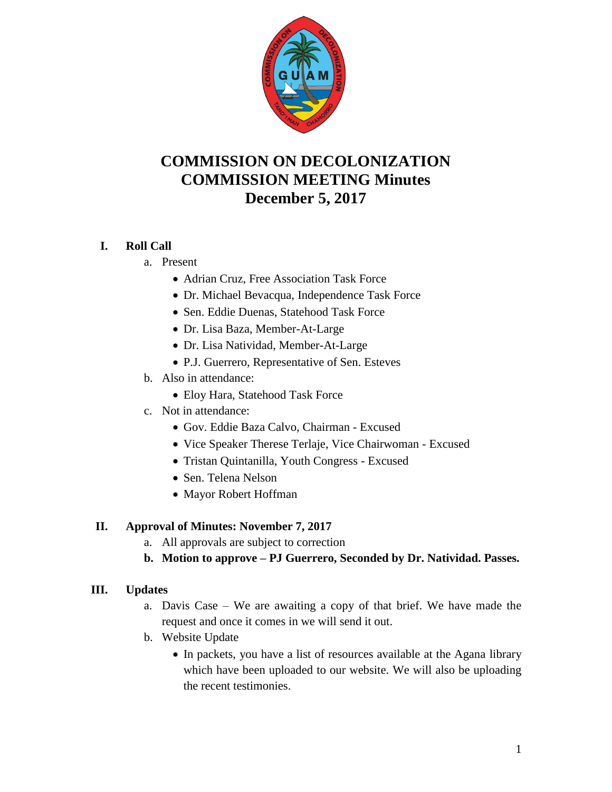

# **COMMISSION ON DECOLONIZATION COMMISSION MEETING Minutes December 5, 2017**

## **I. Roll Call**

- a. Present
	- Adrian Cruz, Free Association Task Force
	- Dr. Michael Bevacqua, Independence Task Force
	- Sen. Eddie Duenas, Statehood Task Force
	- Dr. Lisa Baza, Member-At-Large
	- Dr. Lisa Natividad, Member-At-Large
	- P.J. Guerrero, Representative of Sen. Esteves
- b. Also in attendance:
	- Eloy Hara, Statehood Task Force
- c. Not in attendance:
	- Gov. Eddie Baza Calvo, Chairman Excused
	- Vice Speaker Therese Terlaje, Vice Chairwoman Excused
	- Tristan Quintanilla, Youth Congress Excused
	- Sen. Telena Nelson
	- Mayor Robert Hoffman

#### **II. Approval of Minutes: November 7, 2017**

- a. All approvals are subject to correction
- **b. Motion to approve – PJ Guerrero, Seconded by Dr. Natividad. Passes.**

#### **III. Updates**

- a. Davis Case We are awaiting a copy of that brief. We have made the request and once it comes in we will send it out.
- b. Website Update
	- In packets, you have a list of resources available at the Agana library which have been uploaded to our website. We will also be uploading the recent testimonies.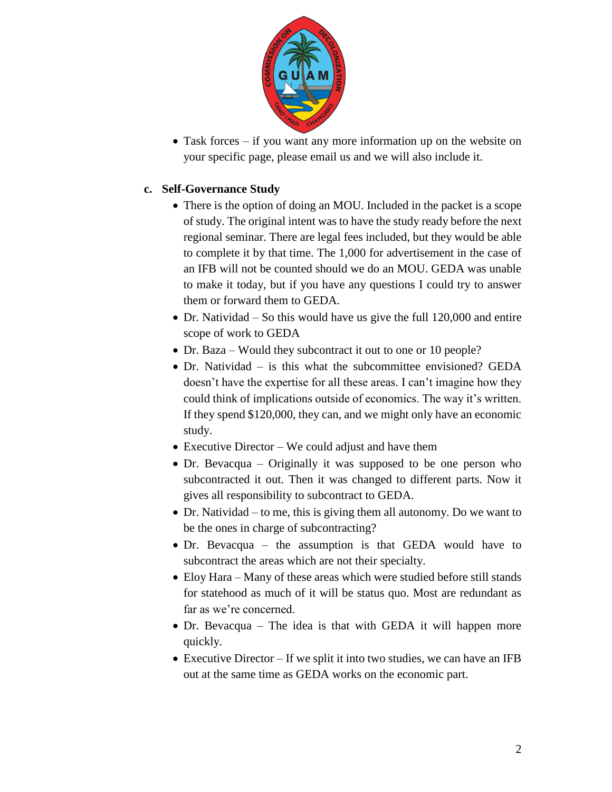

 Task forces – if you want any more information up on the website on your specific page, please email us and we will also include it.

#### **c. Self-Governance Study**

- There is the option of doing an MOU. Included in the packet is a scope of study. The original intent was to have the study ready before the next regional seminar. There are legal fees included, but they would be able to complete it by that time. The 1,000 for advertisement in the case of an IFB will not be counted should we do an MOU. GEDA was unable to make it today, but if you have any questions I could try to answer them or forward them to GEDA.
- $\bullet$  Dr. Natividad So this would have us give the full 120,000 and entire scope of work to GEDA
- Dr. Baza Would they subcontract it out to one or 10 people?
- Dr. Natividad is this what the subcommittee envisioned? GEDA doesn't have the expertise for all these areas. I can't imagine how they could think of implications outside of economics. The way it's written. If they spend \$120,000, they can, and we might only have an economic study.
- Executive Director We could adjust and have them
- Dr. Bevacqua Originally it was supposed to be one person who subcontracted it out. Then it was changed to different parts. Now it gives all responsibility to subcontract to GEDA.
- Dr. Natividad to me, this is giving them all autonomy. Do we want to be the ones in charge of subcontracting?
- Dr. Bevacqua the assumption is that GEDA would have to subcontract the areas which are not their specialty.
- Eloy Hara Many of these areas which were studied before still stands for statehood as much of it will be status quo. Most are redundant as far as we're concerned.
- Dr. Bevacqua The idea is that with GEDA it will happen more quickly.
- Executive Director If we split it into two studies, we can have an IFB out at the same time as GEDA works on the economic part.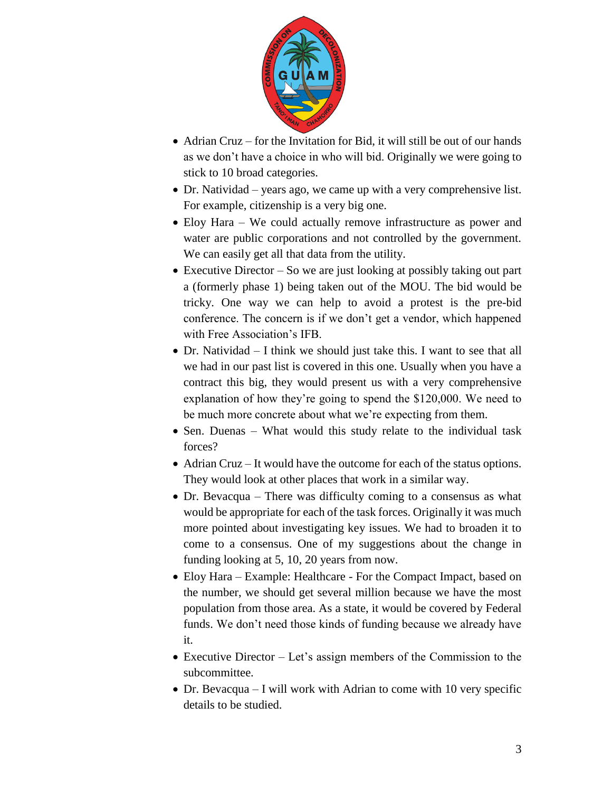

- Adrian Cruz for the Invitation for Bid, it will still be out of our hands as we don't have a choice in who will bid. Originally we were going to stick to 10 broad categories.
- Dr. Natividad years ago, we came up with a very comprehensive list. For example, citizenship is a very big one.
- Eloy Hara We could actually remove infrastructure as power and water are public corporations and not controlled by the government. We can easily get all that data from the utility.
- Executive Director So we are just looking at possibly taking out part a (formerly phase 1) being taken out of the MOU. The bid would be tricky. One way we can help to avoid a protest is the pre-bid conference. The concern is if we don't get a vendor, which happened with Free Association's IFB.
- Dr. Natividad I think we should just take this. I want to see that all we had in our past list is covered in this one. Usually when you have a contract this big, they would present us with a very comprehensive explanation of how they're going to spend the \$120,000. We need to be much more concrete about what we're expecting from them.
- Sen. Duenas What would this study relate to the individual task forces?
- Adrian Cruz It would have the outcome for each of the status options. They would look at other places that work in a similar way.
- Dr. Bevacqua There was difficulty coming to a consensus as what would be appropriate for each of the task forces. Originally it was much more pointed about investigating key issues. We had to broaden it to come to a consensus. One of my suggestions about the change in funding looking at 5, 10, 20 years from now.
- Eloy Hara Example: Healthcare For the Compact Impact, based on the number, we should get several million because we have the most population from those area. As a state, it would be covered by Federal funds. We don't need those kinds of funding because we already have it.
- Executive Director Let's assign members of the Commission to the subcommittee.
- Dr. Bevacqua I will work with Adrian to come with 10 very specific details to be studied.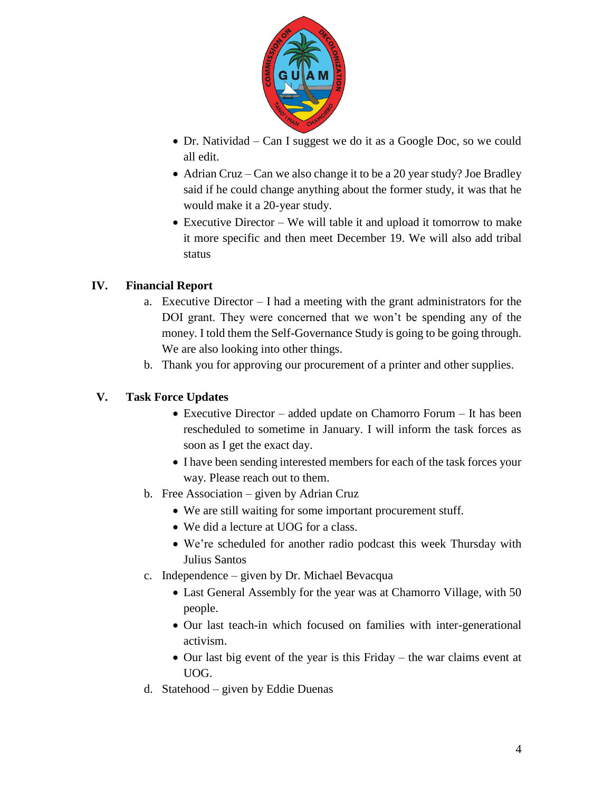

- Dr. Natividad Can I suggest we do it as a Google Doc, so we could all edit.
- Adrian Cruz Can we also change it to be a 20 year study? Joe Bradley said if he could change anything about the former study, it was that he would make it a 20-year study.
- Executive Director We will table it and upload it tomorrow to make it more specific and then meet December 19. We will also add tribal status

## **IV. Financial Report**

- a. Executive Director I had a meeting with the grant administrators for the DOI grant. They were concerned that we won't be spending any of the money. I told them the Self-Governance Study is going to be going through. We are also looking into other things.
- b. Thank you for approving our procurement of a printer and other supplies.

## **V. Task Force Updates**

- Executive Director added update on Chamorro Forum It has been rescheduled to sometime in January. I will inform the task forces as soon as I get the exact day.
- I have been sending interested members for each of the task forces your way. Please reach out to them.
- b. Free Association given by Adrian Cruz
	- We are still waiting for some important procurement stuff.
	- We did a lecture at UOG for a class.
	- We're scheduled for another radio podcast this week Thursday with Julius Santos
- c. Independence given by Dr. Michael Bevacqua
	- Last General Assembly for the year was at Chamorro Village, with 50 people.
	- Our last teach-in which focused on families with inter-generational activism.
	- Our last big event of the year is this Friday the war claims event at UOG.
- d. Statehood given by Eddie Duenas